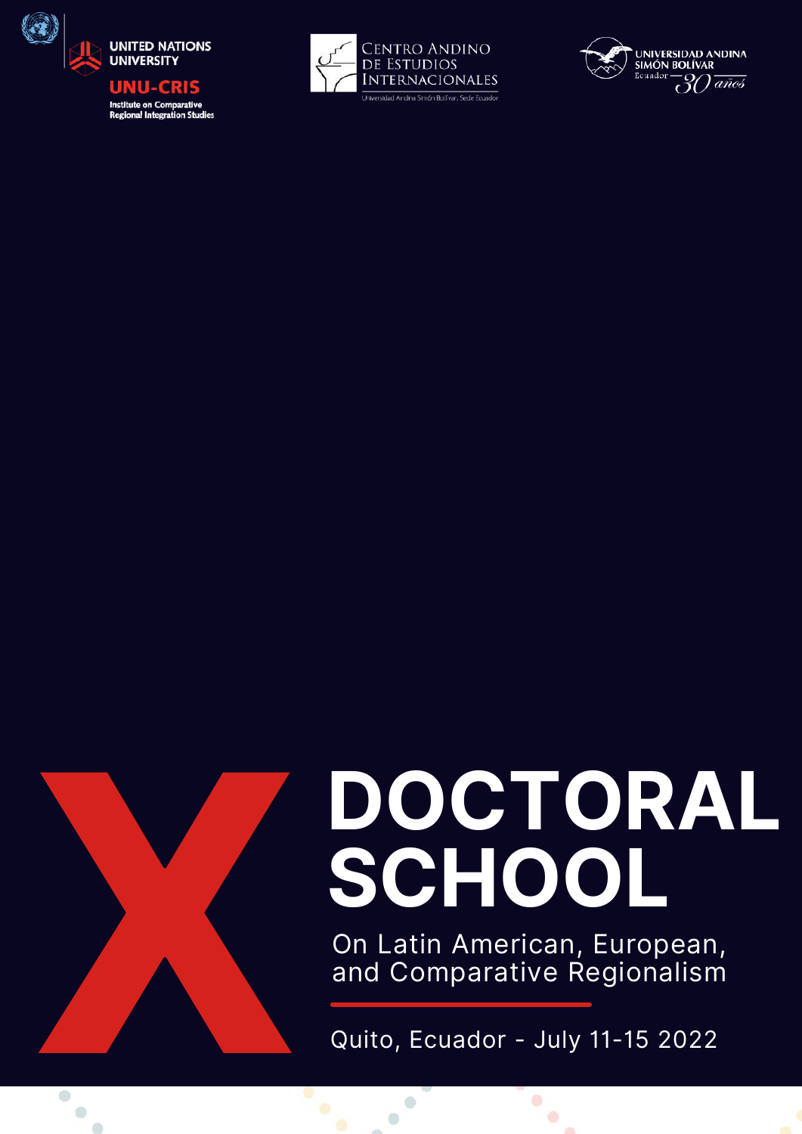









# **DOCTORAL**

On Latin American, European,<br>and Comparative Regionalism

Quito, Ecuador - July 11-15 2022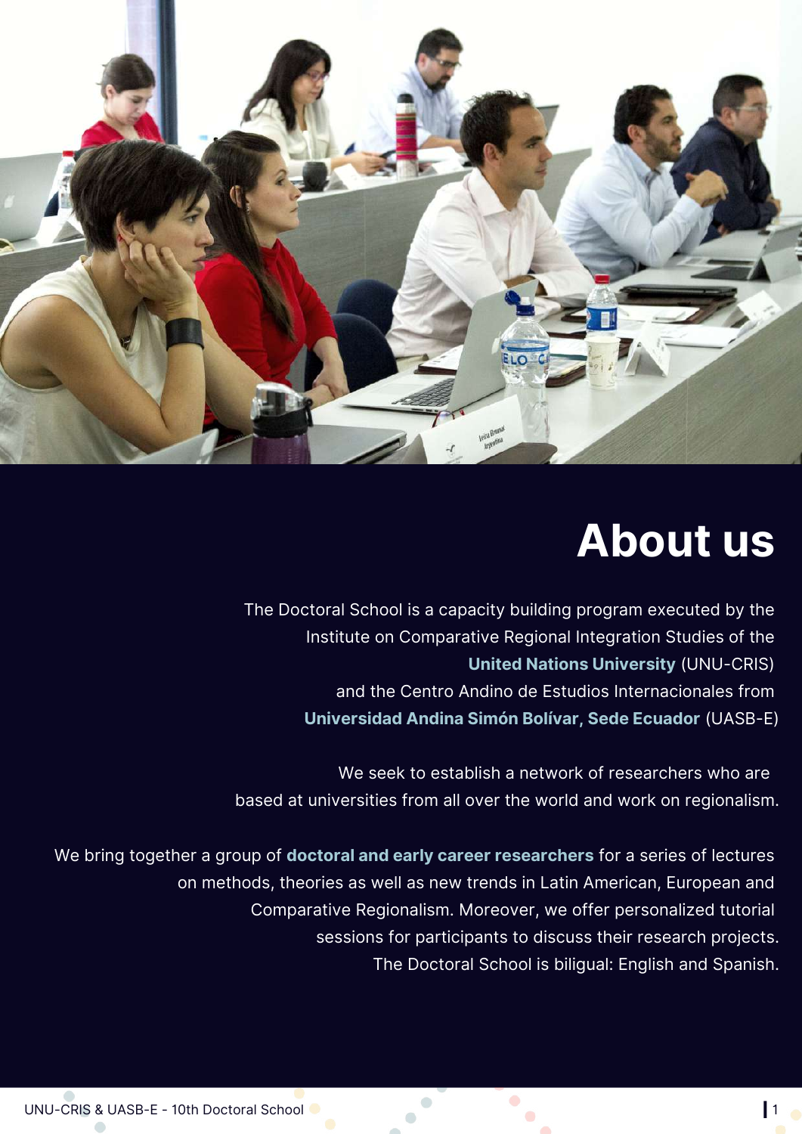

#### **About us**

The Doctoral School is a capacity building program executed by the Institute on Comparative Regional Integration Studies of the **United Nations [University](https://cris.unu.edu/)** (UNU-CRIS) and the Centro Andino de Estudios Internacionales from **[Universidad](https://www.uasb.edu.ec/) Andina Simón Bolívar, Sede Ecuador** (UASB-E)

We seek to establish a network of researchers who are based at universities from all over the world and work on regionalism.

We bring together a group of **doctoral and early career researchers** for a series of lectures on methods, theories as well as new trends in Latin American, European and Comparative Regionalism. Moreover, we offer personalized tutorial sessions for participants to discuss their research projects. The Doctoral School is biligual: English and Spanish.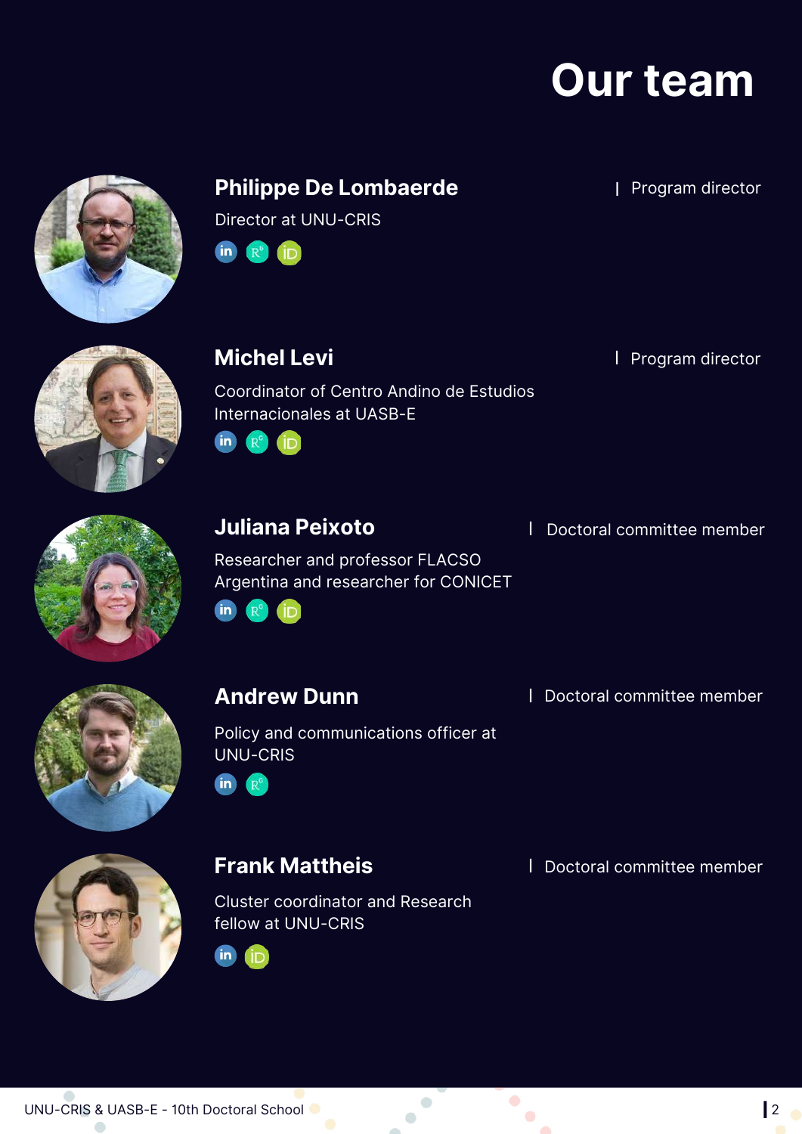### **Our team**



#### **Philippe De Lombaerde I Program director**

Director at UNU-CRIS

**in**  $R^6$ (iD)



**Michel Levi I** Program director

Coordinator of Centro Andino de Estudios Internacionales at UASB-E in R<sup>9</sup> in



Researcher and professor FLACSO Argentina and researcher for CONICET



Policy and communications officer at UNU-CRIS



Cluster coordinator and Research fellow at UNU-CRIS



**Juliana Peixoto I** Doctoral committee member

**Andrew Dunn I** Doctoral committee member

**Frank Mattheis I** Doctoral committee member

 $\bullet$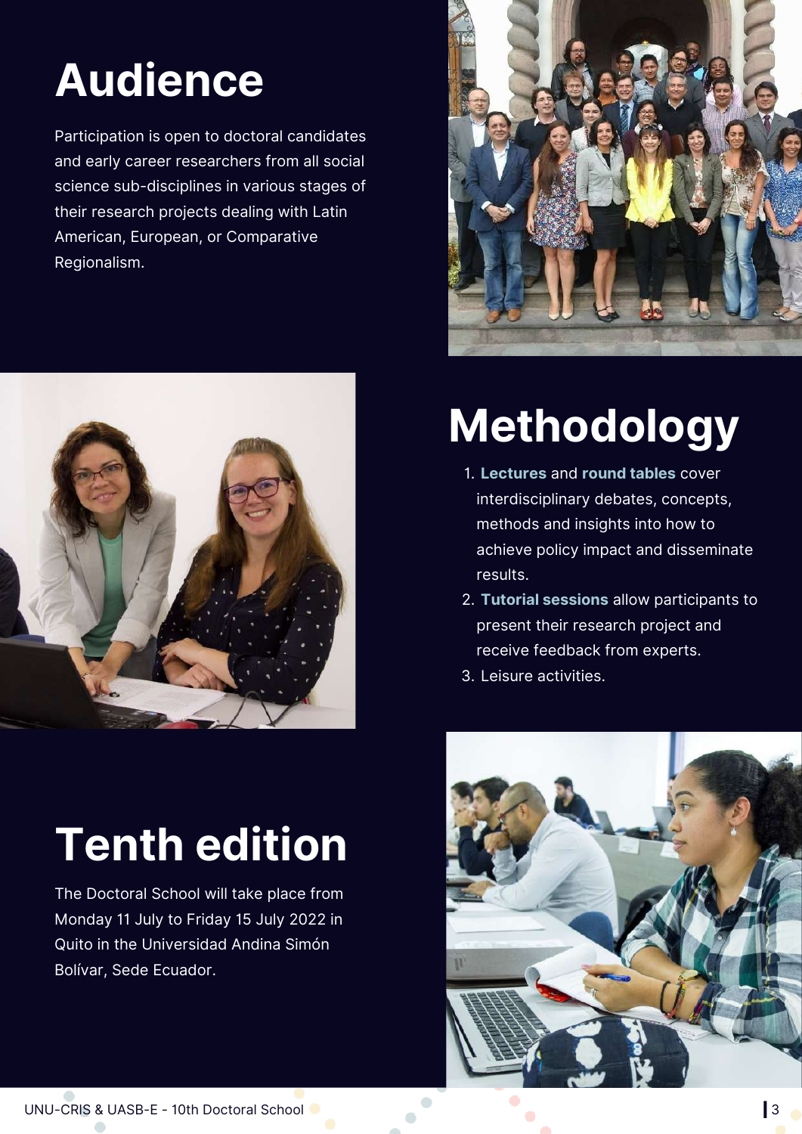## **Audience**

Participation is open to doctoral candidates and early career researchers from all social science sub-disciplines in various stages of their research projects dealing with Latin American, European, or Comparative Regionalism.



## **Tenth edition**

The Doctoral School will take place from Monday 11 July to Friday 15 July 2022 in Quito in the Universidad Andina Simón Bolívar, Sede Ecuador.



## **Methodology**

- **Lectures** and **round tables** cover 1. interdisciplinary debates, concepts, methods and insights into how to achieve policy impact and disseminate results.
- **Tutorial sessions** allow participants to 2. present their research project and receive feedback from experts.
- Leisure activities. 3.

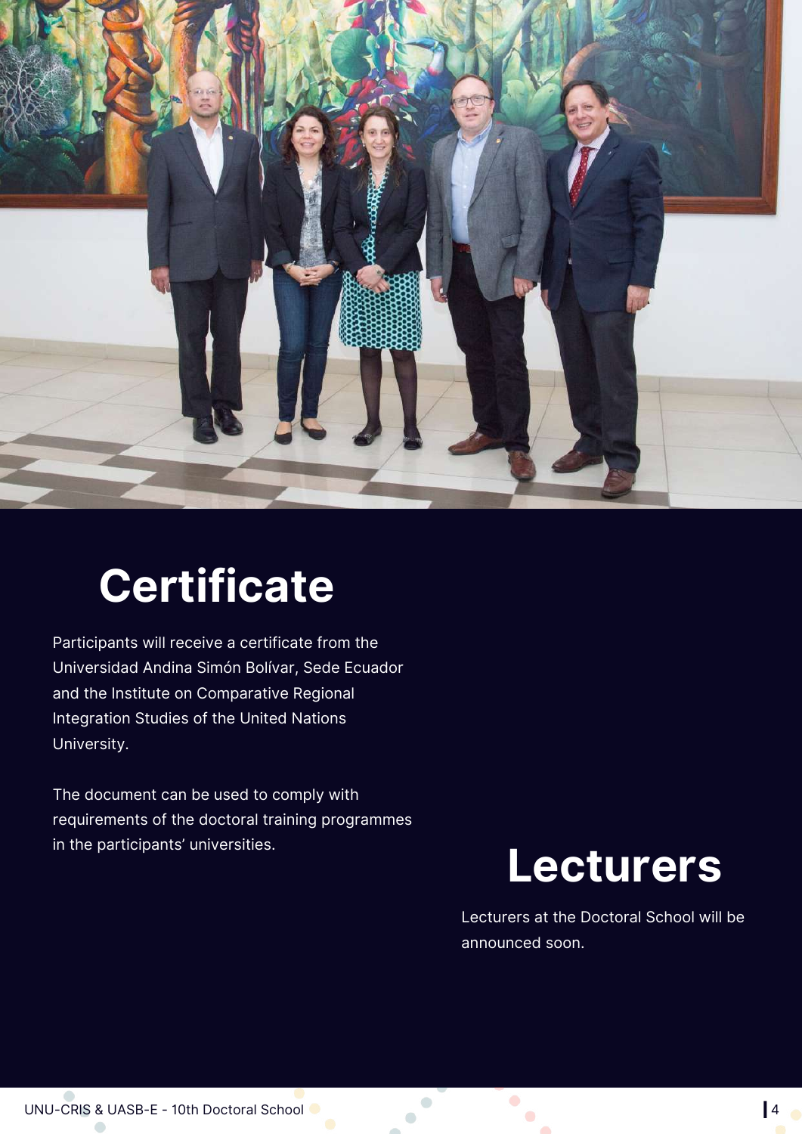

### **Certificate**

Participants will receive a certificate from the Universidad Andina Simón Bolívar, Sede Ecuador and the Institute on Comparative Regional Integration Studies of the United Nations University.

The document can be used to comply with requirements of the doctoral training programmes in the participants' universities.

#### **Lecturers**

Lecturers at the Doctoral School will be announced soon.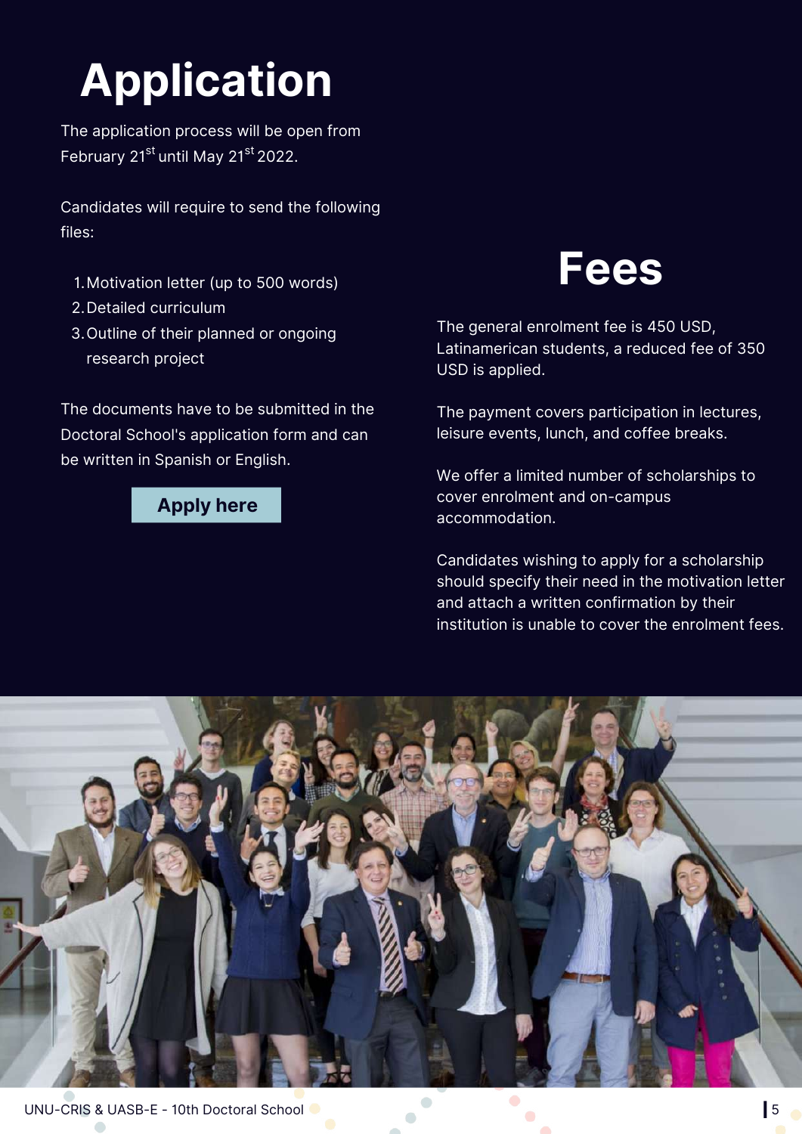# **Application**

The application process will be open from February 21<sup>[st](https://cris.unu.edu/ninthdoctoralschool)</sup> until May 21<sup>st</sup> 2022.

[Candidates](https://cris.unu.edu/ninthdoctoralschool) will require to send the following files:

- Motivation letter (up to 500 words) 1.
- 2. Detailed curriculum
- 3. Outline of their planned or ongoing research project

The documents have to be submitted in the Doctoral School's application form and can be written in Spanish or English.

#### **[Apply](https://docs.google.com/forms/d/e/1FAIpQLSezrAW7p0ukOhd5vEXJy87Z5CK7BtSi0fDoPXXPrBMKr7AHAw/viewform) here**

#### **Fees**

The general enrolment fee is 450 USD, Latinamerican students, a reduced fee of 350 USD is applied.

The payment covers participation in lectures, leisure events, lunch, and coffee breaks.

We offer a limited number of scholarships to cover enrolment and on-campus accommodation.

Candidates wishing to apply for a scholarship should specify their need in the motivation letter and attach a written confirmation by their institution is unable to cover the enrolment fees.